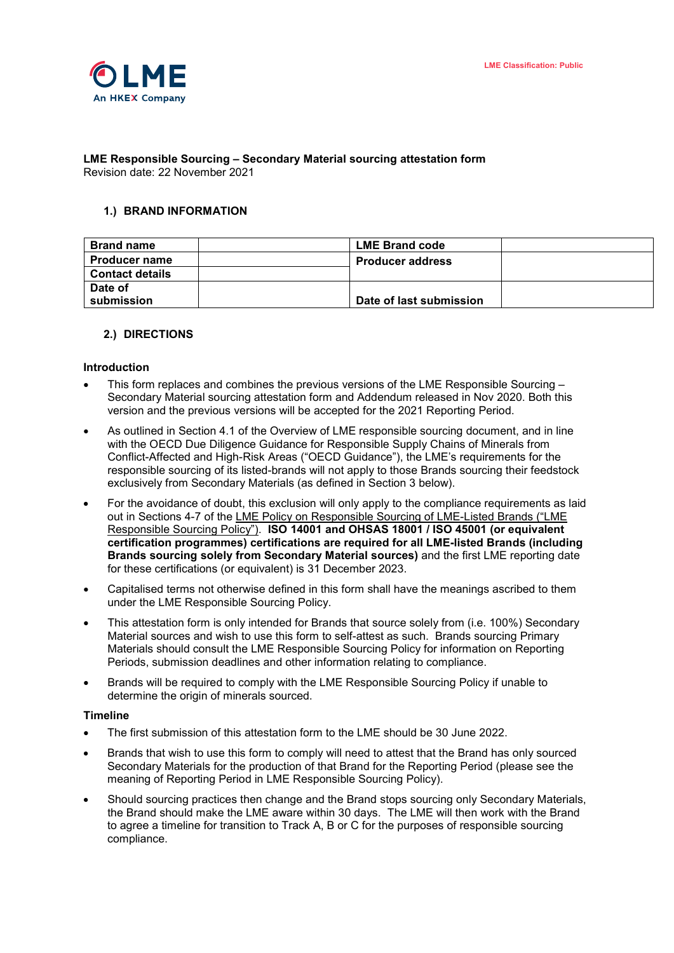

**LME Responsible Sourcing – Secondary Material sourcing attestation form** Revision date: 22 November 2021

## **1.) BRAND INFORMATION**

| <b>Brand name</b>      | <b>LME Brand code</b>   |  |
|------------------------|-------------------------|--|
| <b>Producer name</b>   | <b>Producer address</b> |  |
| <b>Contact details</b> |                         |  |
| Date of                |                         |  |
| submission             | Date of last submission |  |

### **2.) DIRECTIONS**

### **Introduction**

- This form replaces and combines the previous versions of the LME Responsible Sourcing -Secondary Material sourcing attestation form and Addendum released in Nov 2020. Both this version and the previous versions will be accepted for the 2021 Reporting Period.
- As outlined in Section 4.1 of the Overview of LME responsible sourcing document, and in line with the OECD Due Diligence Guidance for Responsible Supply Chains of Minerals from Conflict-Affected and High-Risk Areas ("OECD Guidance"), the LME's requirements for the responsible sourcing of its listed-brands will not apply to those Brands sourcing their feedstock exclusively from Secondary Materials (as defined in Section 3 below).
- For the avoidance of doubt, this exclusion will only apply to the compliance requirements as laid out in Sections 4-7 of the LME Policy on Responsible Sourcing of LME-Listed Brands ("LME Responsible Sourcing Policy"). **ISO 14001 and OHSAS 18001 / ISO 45001 (or equivalent certification programmes) certifications are required for all LME-listed Brands (including Brands sourcing solely from Secondary Material sources)** and the first LME reporting date for these certifications (or equivalent) is 31 December 2023.
- Capitalised terms not otherwise defined in this form shall have the meanings ascribed to them under the LME Responsible Sourcing Policy.
- This attestation form is only intended for Brands that source solely from (i.e. 100%) Secondary Material sources and wish to use this form to self-attest as such. Brands sourcing Primary Materials should consult the LME Responsible Sourcing Policy for information on Reporting Periods, submission deadlines and other information relating to compliance.
- Brands will be required to comply with the LME Responsible Sourcing Policy if unable to determine the origin of minerals sourced.

#### **Timeline**

- The first submission of this attestation form to the LME should be 30 June 2022.
- Brands that wish to use this form to comply will need to attest that the Brand has only sourced Secondary Materials for the production of that Brand for the Reporting Period (please see the meaning of Reporting Period in LME Responsible Sourcing Policy).
- Should sourcing practices then change and the Brand stops sourcing only Secondary Materials, the Brand should make the LME aware within 30 days. The LME will then work with the Brand to agree a timeline for transition to Track A, B or C for the purposes of responsible sourcing compliance.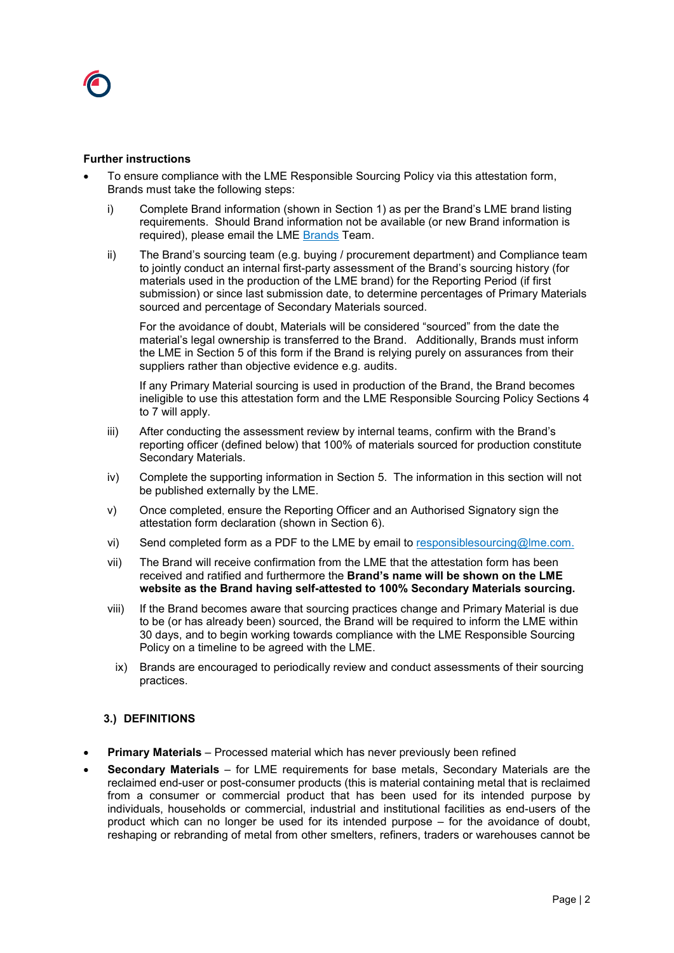

### **Further instructions**

- To ensure compliance with the LME Responsible Sourcing Policy via this attestation form, Brands must take the following steps:
	- i) Complete Brand information (shown in Section 1) as per the Brand's LME brand listing requirements. Should Brand information not be available (or new Brand information is required), please email the LME Brands Team.
	- ii) The Brand's sourcing team (e.g. buying / procurement department) and Compliance team to jointly conduct an internal first-party assessment of the Brand's sourcing history (for materials used in the production of the LME brand) for the Reporting Period (if first submission) or since last submission date, to determine percentages of Primary Materials sourced and percentage of Secondary Materials sourced.

For the avoidance of doubt, Materials will be considered "sourced" from the date the material's legal ownership is transferred to the Brand. Additionally, Brands must inform the LME in Section 5 of this form if the Brand is relying purely on assurances from their suppliers rather than objective evidence e.g. audits.

If any Primary Material sourcing is used in production of the Brand, the Brand becomes ineligible to use this attestation form and the LME Responsible Sourcing Policy Sections 4 to 7 will apply.

- iii) After conducting the assessment review by internal teams, confirm with the Brand's reporting officer (defined below) that 100% of materials sourced for production constitute Secondary Materials.
- iv) Complete the supporting information in Section 5. The information in this section will not be published externally by the LME.
- v) Once completed, ensure the Reporting Officer and an Authorised Signatory sign the attestation form declaration (shown in Section 6).
- vi) Send completed form as a PDF to the LME by email to responsiblesourcing@lme.com.
- vii) The Brand will receive confirmation from the LME that the attestation form has been received and ratified and furthermore the **Brand's name will be shown on the LME website as the Brand having self-attested to 100% Secondary Materials sourcing.**
- viii) If the Brand becomes aware that sourcing practices change and Primary Material is due to be (or has already been) sourced, the Brand will be required to inform the LME within 30 days, and to begin working towards compliance with the LME Responsible Sourcing Policy on a timeline to be agreed with the LME.
	- ix) Brands are encouraged to periodically review and conduct assessments of their sourcing practices.

# **3.) DEFINITIONS**

- **Primary Materials** Processed material which has never previously been refined
- **Secondary Materials** for LME requirements for base metals, Secondary Materials are the reclaimed end-user or post-consumer products (this is material containing metal that is reclaimed from a consumer or commercial product that has been used for its intended purpose by individuals, households or commercial, industrial and institutional facilities as end-users of the product which can no longer be used for its intended purpose – for the avoidance of doubt, reshaping or rebranding of metal from other smelters, refiners, traders or warehouses cannot be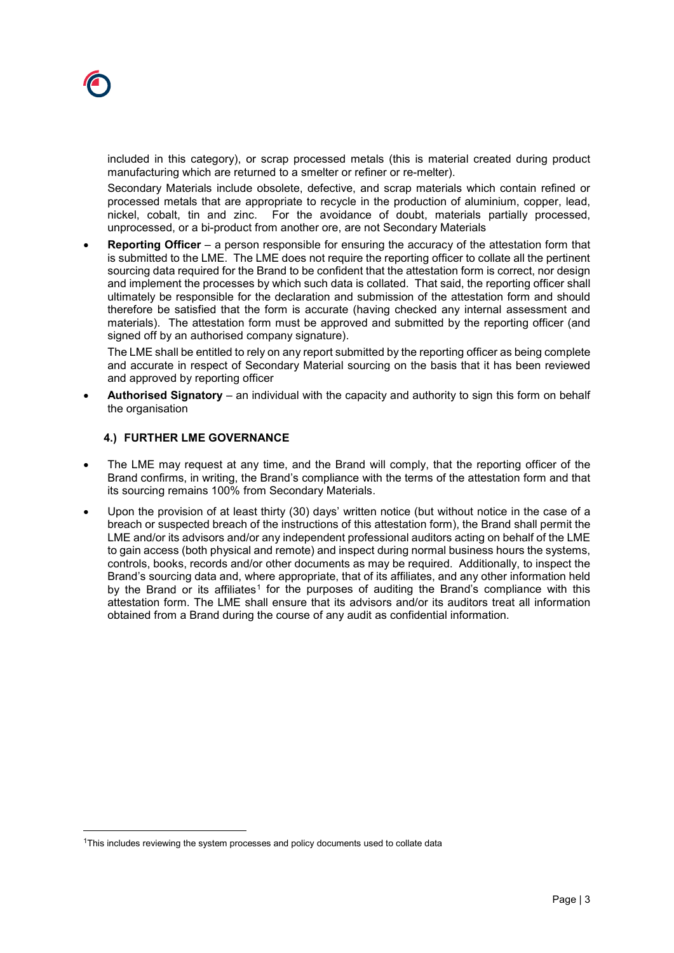

included in this category), or scrap processed metals (this is material created during product manufacturing which are returned to a smelter or refiner or re-melter).

Secondary Materials include obsolete, defective, and scrap materials which contain refined or processed metals that are appropriate to recycle in the production of aluminium, copper, lead, nickel, cobalt, tin and zinc. For the avoidance of doubt, materials partially processed, unprocessed, or a bi-product from another ore, are not Secondary Materials

• **Reporting Officer** – a person responsible for ensuring the accuracy of the attestation form that is submitted to the LME. The LME does not require the reporting officer to collate all the pertinent sourcing data required for the Brand to be confident that the attestation form is correct, nor design and implement the processes by which such data is collated. That said, the reporting officer shall ultimately be responsible for the declaration and submission of the attestation form and should therefore be satisfied that the form is accurate (having checked any internal assessment and materials). The attestation form must be approved and submitted by the reporting officer (and signed off by an authorised company signature).

The LME shall be entitled to rely on any report submitted by the reporting officer as being complete and accurate in respect of Secondary Material sourcing on the basis that it has been reviewed and approved by reporting officer

• **Authorised Signatory** – an individual with the capacity and authority to sign this form on behalf the organisation

# **4.) FURTHER LME GOVERNANCE**

- The LME may request at any time, and the Brand will comply, that the reporting officer of the Brand confirms, in writing, the Brand's compliance with the terms of the attestation form and that its sourcing remains 100% from Secondary Materials.
- Upon the provision of at least thirty (30) days' written notice (but without notice in the case of a breach or suspected breach of the instructions of this attestation form), the Brand shall permit the LME and/or its advisors and/or any independent professional auditors acting on behalf of the LME to gain access (both physical and remote) and inspect during normal business hours the systems, controls, books, records and/or other documents as may be required. Additionally, to inspect the Brand's sourcing data and, where appropriate, that of its affiliates, and any other information held by the Brand or its affiliates<sup>[1](#page-2-0)</sup> for the purposes of auditing the Brand's compliance with this attestation form. The LME shall ensure that its advisors and/or its auditors treat all information obtained from a Brand during the course of any audit as confidential information.

<span id="page-2-0"></span><sup>&</sup>lt;sup>1</sup>This includes reviewing the system processes and policy documents used to collate data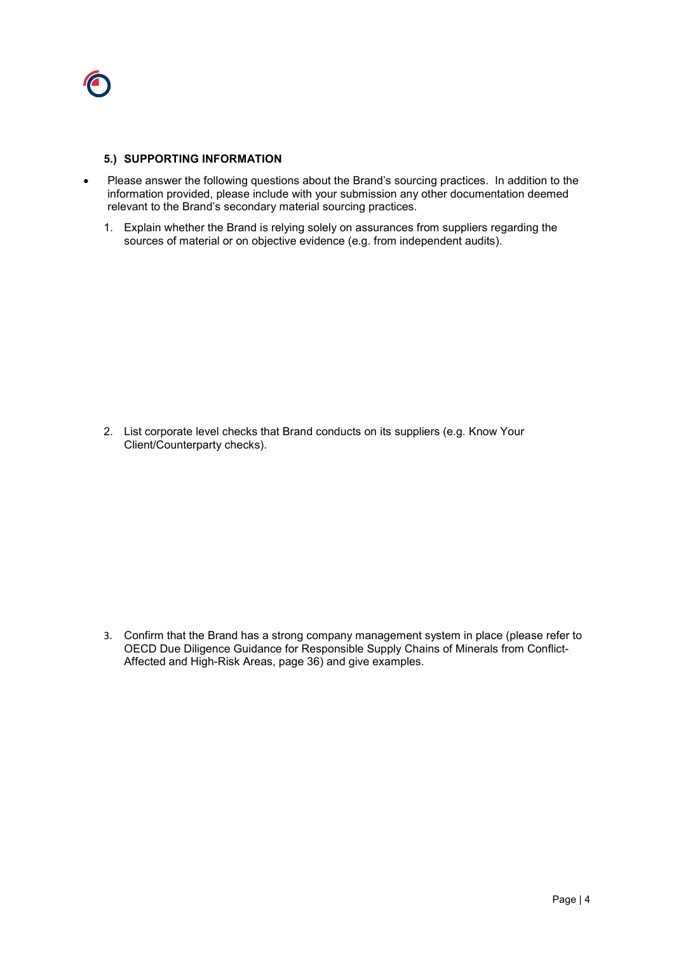

### **5.) SUPPORTING INFORMATION**

- Please answer the following questions about the Brand's sourcing practices. In addition to the information provided, please include with your submission any other documentation deemed relevant to the Brand's secondary material sourcing practices.
	- 1. Explain whether the Brand is relying solely on assurances from suppliers regarding the sources of material or on objective evidence (e.g. from independent audits).

2. List corporate level checks that Brand conducts on its suppliers (e.g. Know Your Client/Counterparty checks).

3. Confirm that the Brand has a strong company management system in place (please refer to OECD Due Diligence Guidance for Responsible Supply Chains of Minerals from Conflict-Affected and High-Risk Areas, page 36) and give examples.